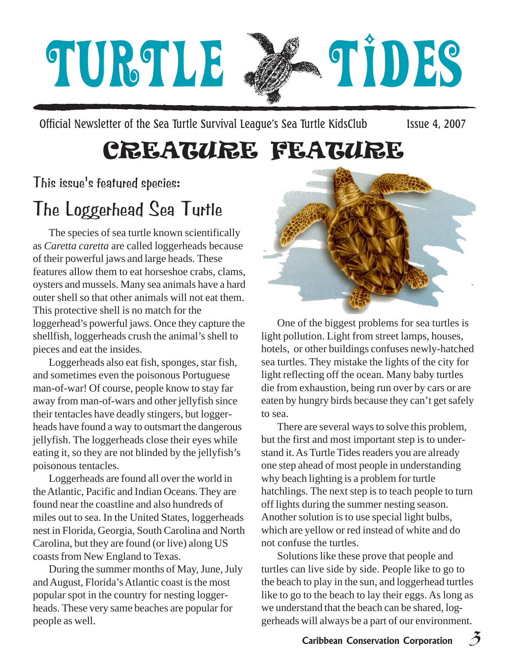# TURTLE 24 TIDES

Official Newsletter of the Sea Turtle Survival League's Sea Turtle KidsClub Issue 4, 2007

# CREATURE FEATURE

This issue's featured species:

## The Loggerhead Sea Turtle

The species of sea turtle known scientifically as *Caretta caretta* are called loggerheads because of their powerful jaws and large heads. These features allow them to eat horseshoe crabs, clams, oysters and mussels. Many sea animals have a hard outer shell so that other animals will not eat them. This protective shell is no match for the loggerhead's powerful jaws. Once they capture the shellfish, loggerheads crush the animal's shell to pieces and eat the insides.

Loggerheads also eat fish, sponges, star fish, and sometimes even the poisonous Portuguese man-of-war! Of course, people know to stay far away from man-of-wars and other jellyfish since their tentacles have deadly stingers, but loggerheads have found a way to outsmart the dangerous jellyfish. The loggerheads close their eyes while eating it, so they are not blinded by the jellyfish's poisonous tentacles.

Loggerheads are found all over the world in the Atlantic, Pacific and Indian Oceans. They are found near the coastline and also hundreds of miles out to sea. In the United States, loggerheads nest in Florida, Georgia, South Carolina and North Carolina, but they are found (or live) along US coasts from New England to Texas.

During the summer months of May, June, July and August, Florida's Atlantic coast is the most popular spot in the country for nesting loggerheads. These very same beaches are popular for people as well.



One of the biggest problems for sea turtles is light pollution. Light from street lamps, houses, hotels, or other buildings confuses newly-hatched sea turtles. They mistake the lights of the city for light reflecting off the ocean. Many baby turtles die from exhaustion, being run over by cars or are eaten by hungry birds because they can't get safely to sea.

There are several ways to solve this problem, but the first and most important step is to understand it. As Turtle Tides readers you are already one step ahead of most people in understanding why beach lighting is a problem for turtle hatchlings. The next step is to teach people to turn off lights during the summer nesting season. Another solution is to use special light bulbs, which are yellow or red instead of white and do not confuse the turtles.

Solutions like these prove that people and turtles can live side by side. People like to go to the beach to play in the sun, and loggerhead turtles like to go to the beach to lay their eggs. As long as we understand that the beach can be shared, loggerheads will always be a part of our environment.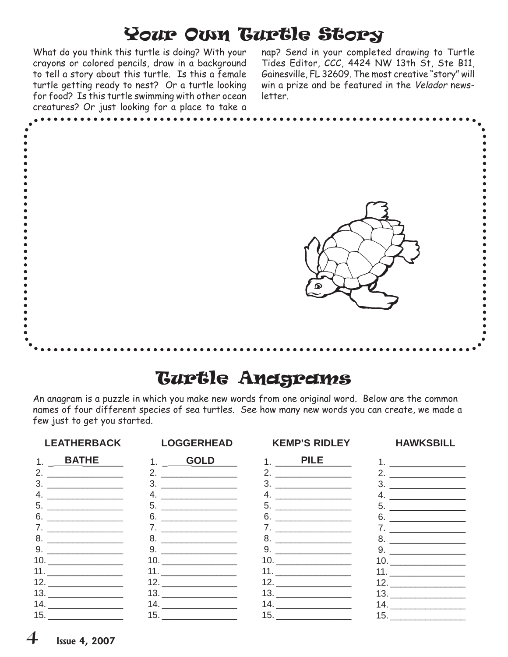### Your Own Turtle Story

What do you think this turtle is doing? With your crayons or colored pencils, draw in a background to tell a story about this turtle. Is this a female turtle getting ready to nest? Or a turtle looking for food? Is this turtle swimming with other ocean creatures? Or just looking for a place to take a

nap? Send in your completed drawing to Turtle Tides Editor, CCC, 4424 NW 13th St, Ste B11, Gainesville, FL 32609. The most creative "story" will win a prize and be featured in the Velador newsletter.



### Turtle Anagrams

An anagram is a puzzle in which you make new words from one original word. Below are the common names of four different species of sea turtles. See how many new words you can create, we made a few just to get you started.

### **LEATHERBACK LOGGERHEAD KEMP'S RIDLEY HAWKSBILL**

 1. \_\_\_\_\_\_\_\_\_\_\_\_\_\_\_ **BATHE PILE GOLD** 1. \_ \_\_\_\_\_\_\_\_ 2. \_\_\_\_\_\_\_\_\_\_\_\_\_\_\_ 3. \_\_\_\_\_\_\_\_\_\_\_\_\_\_\_ 4. \_\_\_\_\_\_\_\_\_\_\_\_\_\_\_ 5. \_\_\_\_\_\_\_\_\_\_\_\_\_\_\_ 6. \_\_\_\_\_\_\_\_\_\_\_\_\_\_\_ 7. \_\_\_\_\_\_\_\_\_\_\_\_\_\_\_ 8. \_\_\_\_\_\_\_\_\_\_\_\_\_\_\_ 9. \_\_\_\_\_\_\_\_\_\_\_\_\_\_\_ 10. \_\_\_\_\_\_\_\_\_\_\_\_\_\_\_ 11. \_\_\_\_\_\_\_\_\_\_\_\_\_\_\_ 12. \_\_\_\_\_\_\_\_\_\_\_\_\_\_\_ 13. \_\_\_\_\_\_\_\_\_\_\_\_\_\_\_ 14. \_\_\_\_\_\_\_\_\_\_\_\_\_\_\_ 15. \_\_\_\_\_\_\_\_\_\_\_\_\_\_\_

| 1.                     | GOLD                                                                                                                                                                                                                                 |
|------------------------|--------------------------------------------------------------------------------------------------------------------------------------------------------------------------------------------------------------------------------------|
| 2.                     |                                                                                                                                                                                                                                      |
| 3.                     |                                                                                                                                                                                                                                      |
| 4.                     |                                                                                                                                                                                                                                      |
| 5.                     |                                                                                                                                                                                                                                      |
| 6.                     | <u> 1989 - Andrea Station Andrea Station Andrea Station Andrea Station Andrea Station Andrea Station Andrea Station Andrea Station Andrea Station Andrea Station Andrea Station Andrea Station Andrea Station Andrea Station And</u> |
| 7.                     |                                                                                                                                                                                                                                      |
| 8.                     |                                                                                                                                                                                                                                      |
| 9.                     |                                                                                                                                                                                                                                      |
|                        |                                                                                                                                                                                                                                      |
|                        | 11. $\qquad \qquad$                                                                                                                                                                                                                  |
|                        | 12. $\qquad \qquad$                                                                                                                                                                                                                  |
|                        |                                                                                                                                                                                                                                      |
| 14. $\qquad \qquad \_$ |                                                                                                                                                                                                                                      |
| 15.                    |                                                                                                                                                                                                                                      |

 $1.$   $\blacksquare$  2. \_\_\_\_\_\_\_\_\_\_\_\_\_\_\_ 3. \_\_\_\_\_\_\_\_\_\_\_\_\_\_\_ 4. \_\_\_\_\_\_\_\_\_\_\_\_\_\_\_ 5. \_\_\_\_\_\_\_\_\_\_\_\_\_\_\_ 6. \_\_\_\_\_\_\_\_\_\_\_\_\_\_\_ 7. \_\_\_\_\_\_\_\_\_\_\_\_\_\_\_ 8. \_\_\_\_\_\_\_\_\_\_\_\_\_\_\_ 9. \_\_\_\_\_\_\_\_\_\_\_\_\_\_\_ 10. \_\_\_\_\_\_\_\_\_\_\_\_\_\_\_ 11. \_\_\_\_\_\_\_\_\_\_\_\_\_\_\_ 12. \_\_\_\_\_\_\_\_\_\_\_\_\_\_\_ 13. \_\_\_\_\_\_\_\_\_\_\_\_\_\_\_ 14. \_\_\_\_\_\_\_\_\_\_\_\_\_\_\_ 15. \_\_\_\_\_\_\_\_\_\_\_\_\_\_\_

 2. \_\_\_\_\_\_\_\_\_\_\_\_\_\_\_ 3. \_\_\_\_\_\_\_\_\_\_\_\_\_\_\_  $4.$  5. \_\_\_\_\_\_\_\_\_\_\_\_\_\_\_ 6. \_\_\_\_\_\_\_\_\_\_\_\_\_\_\_ 7. \_\_\_\_\_\_\_\_\_\_\_\_\_\_\_ 8. \_\_\_\_\_\_\_\_\_\_\_\_\_\_\_ 9. \_\_\_\_\_\_\_\_\_\_\_\_\_\_\_ 10. \_\_\_\_\_\_\_\_\_\_\_\_\_\_\_ 11. \_\_\_\_\_\_\_\_\_\_\_\_\_\_\_  $12.$ 13. \_\_\_\_\_\_\_\_\_\_\_\_\_\_\_  $14.$ 15. \_\_\_\_\_\_\_\_\_\_\_\_\_\_\_